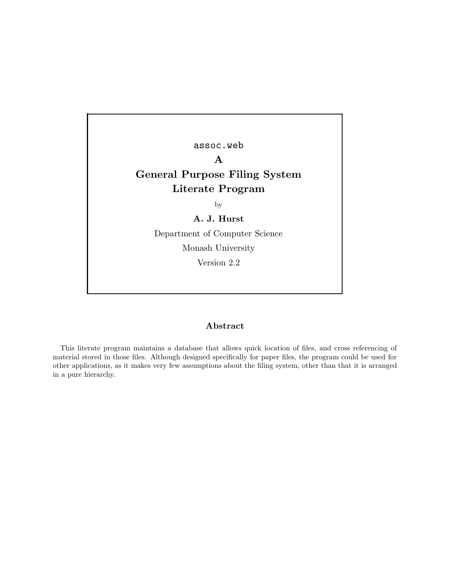assoc.web A General Purpose Filing System Literate Program by A. J. Hurst Department of Computer Science Monash University Version 2.2

## Abstract

This literate program maintains a database that allows quick location of files, and cross referencing of material stored in those files. Although designed specifically for paper files, the program could be used for other applications, as it makes very few assumptions about the filing system, other than that it is arranged in a pure hierarchy.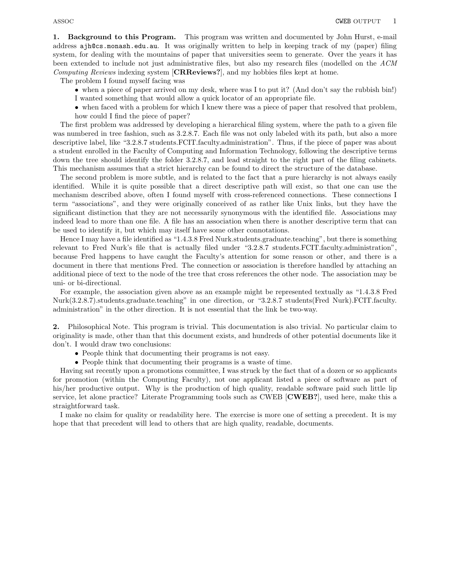1. Background to this Program. This program was written and documented by John Hurst, e-mail address ajh@cs.monash.edu.au. It was originally written to help in keeping track of my (paper) filing system, for dealing with the mountains of paper that universities seem to generate. Over the years it has been extended to include not just administrative files, but also my research files (modelled on the ACM Computing Reviews indexing system [CRReviews?], and my hobbies files kept at home.

The problem I found myself facing was

- when a piece of paper arrived on my desk, where was I to put it? (And don't say the rubbish bin!) I wanted something that would allow a quick locator of an appropriate file.
- when faced with a problem for which I knew there was a piece of paper that resolved that problem, how could I find the piece of paper?

The first problem was addressed by developing a hierarchical filing system, where the path to a given file was numbered in tree fashion, such as  $3.2.8.7$ . Each file was not only labeled with its path, but also a more descriptive label, like "3.2.8.7 students.FCIT.faculty.administration". Thus, if the piece of paper was about a student enrolled in the Faculty of Computing and Information Technology, following the descriptive terms down the tree should identify the folder 3.2.8.7, and lead straight to the right part of the filing cabinets. This mechanism assumes that a strict hierarchy can be found to direct the structure of the database.

The second problem is more subtle, and is related to the fact that a pure hierarchy is not always easily identified. While it is quite possible that a direct descriptive path will exist, so that one can use the mechanism described above, often I found myself with cross-referenced connections. These connections I term "associations", and they were originally conceived of as rather like Unix links, but they have the significant distinction that they are not necessarily synonymous with the identified file. Associations may indeed lead to more than one file. A file has an association when there is another descriptive term that can be used to identify it, but which may itself have some other connotations.

Hence I may have a file identified as "1.4.3.8 Fred Nurk.students.graduate.teaching", but there is something relevant to Fred Nurk's file that is actually filed under "3.2.8.7 students.FCIT.faculty.administration", because Fred happens to have caught the Faculty's attention for some reason or other, and there is a document in there that mentions Fred. The connection or association is therefore handled by attaching an additional piece of text to the node of the tree that cross references the other node. The association may be uni- or bi-directional.

For example, the association given above as an example might be represented textually as "1.4.3.8 Fred Nurk(3.2.8.7).students.graduate.teaching" in one direction, or "3.2.8.7 students(Fred Nurk).FCIT.faculty. administration" in the other direction. It is not essential that the link be two-way.

2. Philosophical Note. This program is trivial. This documentation is also trivial. No particular claim to originality is made, other than that this document exists, and hundreds of other potential documents like it don't. I would draw two conclusions:

- People think that documenting their programs is not easy.
- People think that documenting their programs is a waste of time.

Having sat recently upon a promotions committee, I was struck by the fact that of a dozen or so applicants for promotion (within the Computing Faculty), not one applicant listed a piece of software as part of his/her productive output. Why is the production of high quality, readable software paid such little lip service, let alone practice? Literate Programming tools such as CWEB [CWEB?], used here, make this a straightforward task.

I make no claim for quality or readability here. The exercise is more one of setting a precedent. It is my hope that that precedent will lead to others that are high quality, readable, documents.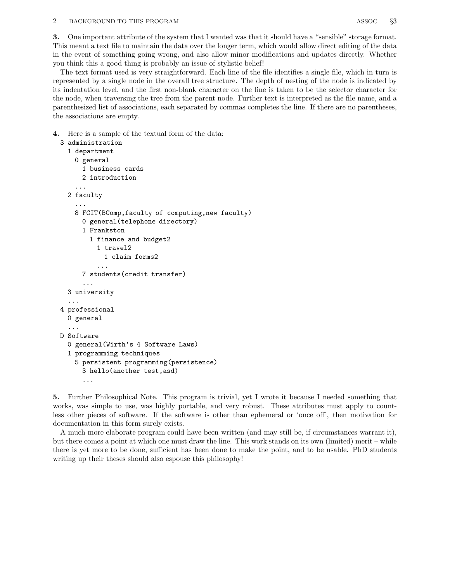3. One important attribute of the system that I wanted was that it should have a "sensible" storage format. This meant a text file to maintain the data over the longer term, which would allow direct editing of the data in the event of something going wrong, and also allow minor modifications and updates directly. Whether you think this a good thing is probably an issue of stylistic belief!

The text format used is very straightforward. Each line of the file identifies a single file, which in turn is represented by a single node in the overall tree structure. The depth of nesting of the node is indicated by its indentation level, and the first non-blank character on the line is taken to be the selector character for the node, when traversing the tree from the parent node. Further text is interpreted as the file name, and a parenthesized list of associations, each separated by commas completes the line. If there are no parentheses, the associations are empty.

4. Here is a sample of the textual form of the data:

```
3 administration
  1 department
    0 general
      1 business cards
      2 introduction
    ...
 2 faculty
    ...
    8 FCIT(BComp,faculty of computing,new faculty)
      0 general(telephone directory)
      1 Frankston
        1 finance and budget2
          1 travel2
           1 claim forms2
          ...
      7 students(credit transfer)
      ...
  3 university
  ...
4 professional
  0 general
  ...
D Software
  0 general(Wirth's 4 Software Laws)
  1 programming techniques
    5 persistent programming(persistence)
      3 hello(another test,asd)
      ...
```
5. Further Philosophical Note. This program is trivial, yet I wrote it because I needed something that works, was simple to use, was highly portable, and very robust. These attributes must apply to countless other pieces of software. If the software is other than ephemeral or 'once off', then motivation for documentation in this form surely exists.

A much more elaborate program could have been written (and may still be, if circumstances warrant it), but there comes a point at which one must draw the line. This work stands on its own (limited) merit – while there is yet more to be done, sufficient has been done to make the point, and to be usable. PhD students writing up their theses should also espouse this philosophy!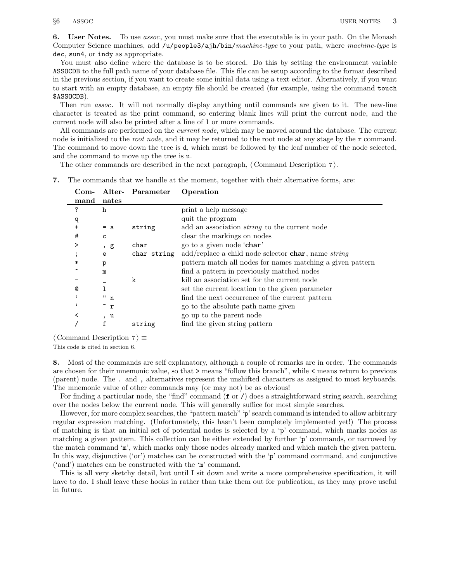6. User Notes. To use *assoc*, you must make sure that the executable is in your path. On the Monash Computer Science machines, add /u/people3/ajh/bin/machine-type to your path, where machine-type is dec, sun4, or indy as appropriate.

You must also define where the database is to be stored. Do this by setting the environment variable ASSOCDB to the full path name of your database file. This file can be setup according to the format described in the previous section, if you want to create some initial data using a text editor. Alternatively, if you want to start with an empty database, an empty file should be created (for example, using the command touch \$ASSOCDB).

Then run *assoc*. It will not normally display anything until commands are given to it. The new-line character is treated as the print command, so entering blank lines will print the current node, and the current node will also be printed after a line of 1 or more commands.

All commands are performed on the *current node*, which may be moved around the database. The current node is initialized to the *root node*, and it may be returned to the root node at any stage by the  $\mathbf r$  command. The command to move down the tree is d, which must be followed by the leaf number of the node selected, and the command to move up the tree is u.

The other commands are described in the next paragraph,  $\langle$  Command Description 7 $\rangle$ .

7. The commands that we handle at the moment, together with their alternative forms, are:

| $Com-$ |              | Alter- Parameter | Operation                                                             |
|--------|--------------|------------------|-----------------------------------------------------------------------|
| mand   | nates        |                  |                                                                       |
| ?      | h            |                  | print a help message                                                  |
| q      |              |                  | quit the program                                                      |
| +      | $= a$        | string           | add an association <i>string</i> to the current node                  |
| #      | $\mathsf{C}$ |                  | clear the markings on nodes                                           |
|        | , g          | char             | go to a given node 'char'                                             |
|        | e            | char string      | $add$ /replace a child node selector <b>char</b> , name <i>string</i> |
| $\ast$ | p            |                  | pattern match all nodes for names matching a given pattern            |
|        | m            |                  | find a pattern in previously matched nodes                            |
|        |              | k                | kill an association set for the current node                          |
| ℚ      |              |                  | set the current location to the given parameter                       |
|        | "n           |                  | find the next occurrence of the current pattern                       |
|        | $\tilde{r}$  |                  | go to the absolute path name given                                    |
|        | , u          |                  | go up to the parent node                                              |
|        | f            | string           | find the given string pattern                                         |
|        |              |                  |                                                                       |

 $\langle$  Command Description 7 $\rangle \equiv$ 

This code is cited in section 6.

8. Most of the commands are self explanatory, although a couple of remarks are in order. The commands are chosen for their mnemonic value, so that > means "follow this branch", while < means return to previous (parent) node. The . and , alternatives represent the unshifted characters as assigned to most keyboards. The mnemonic value of other commands may (or may not) be as obvious!

For finding a particular node, the "find" command  $(f \text{ or } \ell)$  does a straightforward string search, searching over the nodes below the current node. This will generally suffice for most simple searches.

However, for more complex searches, the "pattern match" 'p' search command is intended to allow arbitrary regular expression matching. (Unfortunately, this hasn't been completely implemented yet!) The process of matching is that an initial set of potential nodes is selected by a 'p' command, which marks nodes as matching a given pattern. This collection can be either extended by further 'p' commands, or narrowed by the match command 'm', which marks only those nodes already marked and which match the given pattern. In this way, disjunctive ('or') matches can be constructed with the 'p' command command, and conjunctive ('and') matches can be constructed with the 'm' command.

This is all very sketchy detail, but until I sit down and write a more comprehensive specification, it will have to do. I shall leave these hooks in rather than take them out for publication, as they may prove useful in future.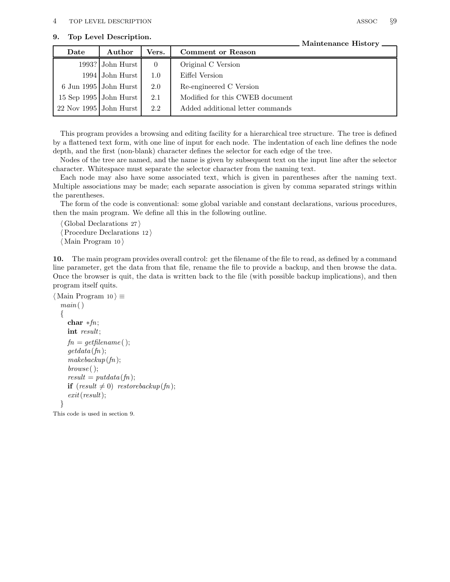This program provides a browsing and editing facility for a hierarchical tree structure. The tree is defined by a flattened text form, with one line of input for each node. The indentation of each line defines the node depth, and the first (non-blank) character defines the selector for each edge of the tree.

Nodes of the tree are named, and the name is given by subsequent text on the input line after the selector character. Whitespace must separate the selector character from the naming text.

Each node may also have some associated text, which is given in parentheses after the naming text. Multiple associations may be made; each separate association is given by comma separated strings within the parentheses.

The form of the code is conventional: some global variable and constant declarations, various procedures, then the main program. We define all this in the following outline.

 $\langle$  Global Declarations 27 $\rangle$ Procedure Declarations  $12 \rangle$  $\langle$  Main Program 10  $\rangle$ 

10. The main program provides overall control: get the filename of the file to read, as defined by a command line parameter, get the data from that file, rename the file to provide a backup, and then browse the data. Once the browser is quit, the data is written back to the file (with possible backup implications), and then program itself quits.

```
\langle Main Program 10 \rangle \equivmain(){
     char ∗fn;
     int result;
     fn = getfilename ( );
     getdata(fn);
     makebackup(fn);browse ( );
     result = putdata (fn);if (result \neq 0) restorebackup(fn);
     exit(result);
  }
```
This code is used in section 9.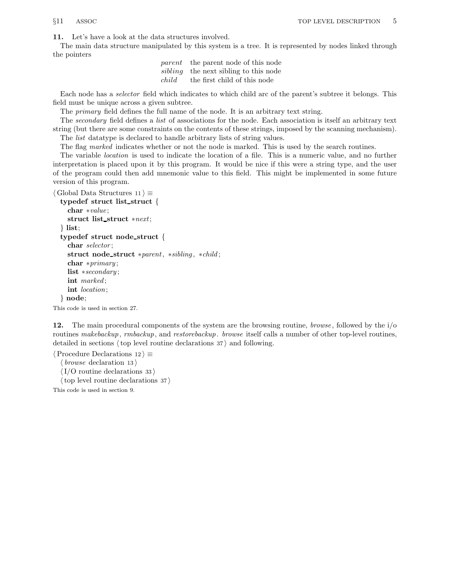11. Let's have a look at the data structures involved.

The main data structure manipulated by this system is a tree. It is represented by nodes linked through the pointers

|       | <i>parent</i> the parent node of this node   |
|-------|----------------------------------------------|
|       | <i>sibling</i> the next sibling to this node |
| child | the first child of this node                 |

Each node has a selector field which indicates to which child arc of the parent's subtree it belongs. This field must be unique across a given subtree.

The *primary* field defines the full name of the node. It is an arbitrary text string.

The secondary field defines a list of associations for the node. Each association is itself an arbitrary text string (but there are some constraints on the contents of these strings, imposed by the scanning mechanism).

The *list* datatype is declared to handle arbitrary lists of string values.

The flag marked indicates whether or not the node is marked. This is used by the search routines.

The variable location is used to indicate the location of a file. This is a numeric value, and no further interpretation is placed upon it by this program. It would be nice if this were a string type, and the user of the program could then add mnemonic value to this field. This might be implemented in some future version of this program.

```
\langle Global Data Structures 11 \rangle \equivtypedef struct list struct {
```

```
char ∗value ;
  struct list_struct *next;
\} list;
typedef struct node struct {
  char selector ;
  struct node struct ∗parent, ∗sibling , ∗child ;
  char ∗primary ;
  list ∗secondary ;
  int marked;
  int location;
} node;
```
This code is used in section 27.

12. The main procedural components of the system are the browsing routine, *browse*, followed by the i/o routines makebackup, rmbackup, and restorebackup. browse itself calls a number of other top-level routines, detailed in sections  $\langle$  top level routine declarations 37 $\rangle$  and following.

 $\langle$  Procedure Declarations 12  $\rangle \equiv$ 

 $\langle$  browse declaration 13 $\rangle$ 

 $\langle I/O$  routine declarations 33  $\rangle$ 

 $\langle$  top level routine declarations 37  $\rangle$ 

This code is used in section 9.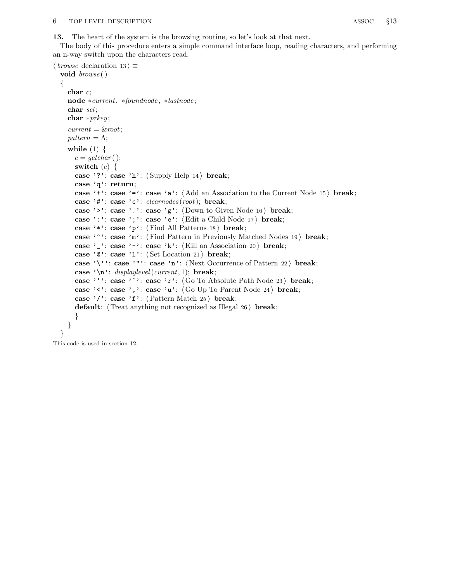13. The heart of the system is the browsing routine, so let's look at that next.

The body of this procedure enters a simple command interface loop, reading characters, and performing an n-way switch upon the characters read.

```
\langle browse declaration 13 \rangle \equivvoid browse ()
  {
     char c;
     node ∗current, ∗foundnode , ∗lastnode ;
     char sel;char *prkey;current = & root;pattern = \Lambda;
     while (1) \{c = getchar( );
       switch (c) \{case '?': case 'h': \langle Supply Help 14\rangle break;
       case 'q': return;
       case '+': case '=': case 'a': \langle Add an Association to the Current Node 15 \rangle break;
       case '#': case 'c': clean nodes(root); break;
       case '>': case '.': case 'g': \langle Down to Given Node 16 \rangle break;
       case ':': case ';': case 'e': \langle Edit a Child Node 17\rangle break;
       case '*': case 'p': \langle Find All Patterns 18\rangle break;
       case '<sup>o</sup>': case 'm': \langle Find Pattern in Previously Matched Nodes 19 \rangle break;
       case '_': case '−': case 'k': \langle Kill an Association 20 \rangle break;
       case '0': case '1': \langle Set Location 21\rangle break;
       case '\'': case '"': case 'n': \langle Next Occurrence of Pattern 22 \ break;
       case '\n': displaylevel(current, 1); break;
       case '': case '"': case 'r': \langle Go To Absolute Path Node 23 i break;
       case '\langle \cdot \rangle: case ', ': case 'u': \langle Go Up To Parent Node 24 \rangle break;
       case '/': case 'f': \langle Pattern Match 25 \rangle break;
       default: \langle Treat anything not recognized as Illegal 26 \rangle break;
       }
     }
  }
```
This code is used in section 12.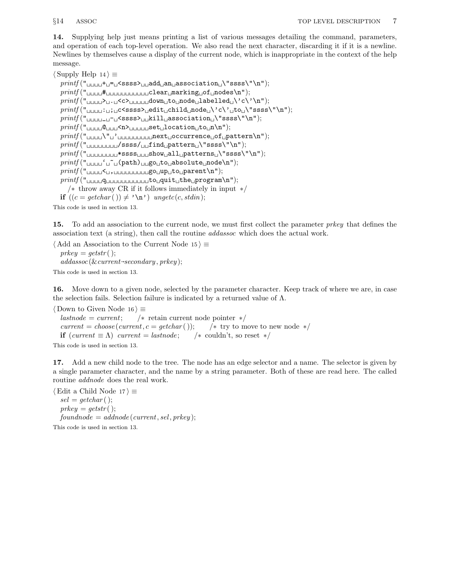14. Supplying help just means printing a list of various messages detailing the command, parameters, and operation of each top-level operation. We also read the next character, discarding it if it is a newline. Newlines by themselves cause a display of the current node, which is inappropriate in the context of the help message.

 $\langle$  Supply Help 14 $\rangle \equiv$ 

 $print(f("_{\sqcup\sqcup\sqcup}+_{\sqcup}=\sqcup$ <ssss $\gt_{\sqcup\sqcup}$ add $_{\sqcup}$ an $_{\sqcup}$ association $_{\sqcup}\$ 'ssss $\$ ''\n");  $\text{printf}("$  $printf("_{\sqcup\sqcup\sqcup\sqcup}, \sqcup\llbracket \llbracket \llbracket \mathsf{down}_{\sqcup} \mathsf{to}_{\sqcup} \mathsf{node}_{\sqcup} \mathsf{labelled}_{\sqcup} \backslash \lceil \mathsf{c} \backslash \lceil \mathsf{h} \rceil);$  $\text{printf}("_{\sqcup \sqcup \sqcup \sqcup \sqcup \sqcup \sqcup \sqcup \sqsubseteq}$  <ssss\"\n"); printf (" \_ − <ssss> kill association \"ssss\"\n");  $printf("$  $_{\cup\cup\cup\cup}$  $\subseteq$ n $\gt$  $_{\cup\cup\cup\cup\cup}$ set $_{\cup}$ location $_{\cup}$ to $_{\cup}$ n'n'); printf (" \" ' next occurrence of pattern\n");  $\text{printf("_{\text{unununiv}}/ssss/_{\text{unifind}_{\text{up}}} \text{attern}_{\text{un}}\text{``ssss}\text{'``\text{''''}});$  $\mathit{printf}("$ printf (" ' ~ (path) go to absolute node\n");  $printf("$  $_{\cup\cup\cup\cup}$ < $_{\cup}$ , $_{\cup\cup\cup\cup\cup\cup\cup\cup\cup}$ go $_{\cup}$ up $_{\cup}$ to $_{\cup}$ parent $\setminus$ n");  $print(f("$ /∗ throw away CR if it follows immediately in input ∗/ if  $((c = getchar($   $)) \neq ' \n\cdot )$  ungetc(c, stdin);

This code is used in section 13.

15. To add an association to the current node, we must first collect the parameter *prkey* that defines the association text (a string), then call the routine addassoc which does the actual work.

 $\langle$  Add an Association to the Current Node 15  $\rangle \equiv$  $prkey = getstr($  );  $addassoc ( \& current \rightarrow secondary, preky );$ 

This code is used in section 13.

16. Move down to a given node, selected by the parameter character. Keep track of where we are, in case the selection fails. Selection failure is indicated by a returned value of  $\Lambda$ .

 $\langle$  Down to Given Node 16  $\rangle \equiv$  $\ell$ lastnode = current;  $\ell^*$  retain current node pointer  $\ell$ current = choose (current, c = getchar ());  $\forall$  try to move to new node  $*/$ if  $current \equiv \Lambda$ ) current = lastnode;  $\rightarrow$  couldn't, so reset  $\ast$ / This code is used in section 13.

17. Add a new child node to the tree. The node has an edge selector and a name. The selector is given by a single parameter character, and the name by a string parameter. Both of these are read here. The called routine addnode does the real work.

 $\langle$  Edit a Child Node 17  $\rangle \equiv$  $sel = getchar($  );  $prkey = getstr($  );  $found node = addnode$  (current, sel, prkey); This code is used in section 13.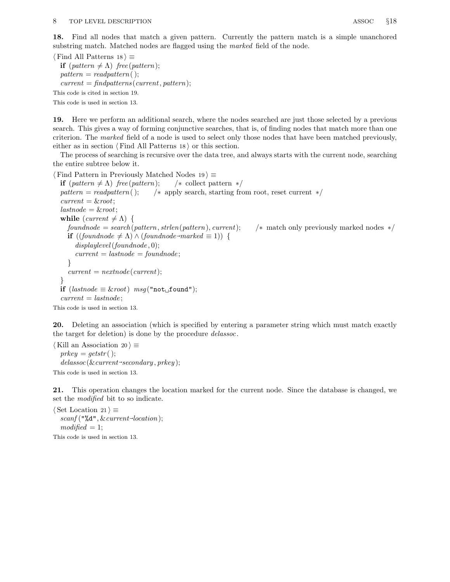18. Find all nodes that match a given pattern. Currently the pattern match is a simple unanchored substring match. Matched nodes are flagged using the *marked* field of the node.

 $\langle$  Find All Patterns 18  $\rangle \equiv$ if  $(\text{pattern} \neq \Lambda)$  free (pattern);  $pattern = readpattern($  );  $current = find patterns (current, pattern);$ This code is cited in section 19.

This code is used in section 13.

19. Here we perform an additional search, where the nodes searched are just those selected by a previous search. This gives a way of forming conjunctive searches, that is, of finding nodes that match more than one criterion. The marked field of a node is used to select only those nodes that have been matched previously, either as in section  $\langle$  Find All Patterns 18 $\rangle$  or this section.

The process of searching is recursive over the data tree, and always starts with the current node, searching the entire subtree below it.

```
\langle Find Pattern in Previously Matched Nodes 19 \rangle \equivif (\text{pattern} \neq \Lambda) free (pattern); /* collect pattern */
  pattern = readpattern (); /* apply search, starting from root, reset current */
  current = \&root;\mathit{lastnode} = \& \mathit{root};while current \neq \Lambda {
     found node = search(path, strlen(path, current); \qquad match only previously marked nodes */if ((found node \neq \Lambda) \land (found node \rightarrow marked \equiv 1)) {
        displaylevel(foundnode, 0);current = last node = found node;}
     current = nextnode(current);}
  if (lastnode \equiv kroot) msg("not<sub>u</sub>found");
  current = last node;This code is used in section 13.
```
20. Deleting an association (which is specified by entering a parameter string which must match exactly the target for deletion) is done by the procedure *delassoc*.

 $\langle$  Kill an Association 20  $\rangle \equiv$  $prkey = getstr($  );  $\textit{delassoc}(\&\textit{current}\text{-}secondary, \textit{prkey});$ 

This code is used in section 13.

21. This operation changes the location marked for the current node. Since the database is changed, we set the modified bit to so indicate.

 $\langle$  Set Location 21  $\rangle \equiv$  $\mathit{scanf}$  ("% $d$ ",  $\&\textit{current}\text{-}location$ );  $modified = 1;$ This code is used in section 13.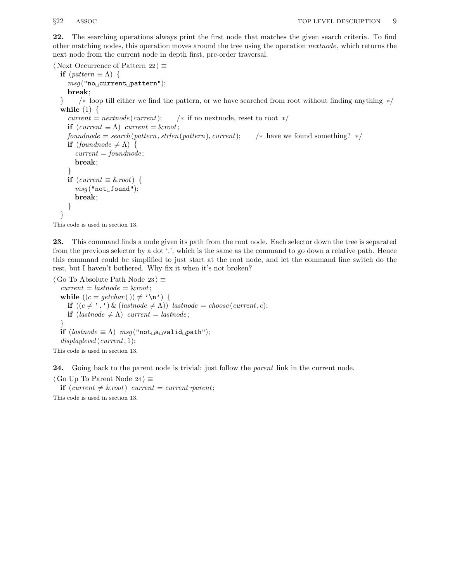22. The searching operations always print the first node that matches the given search criteria. To find other matching nodes, this operation moves around the tree using the operation nextnode , which returns the next node from the current node in depth first, pre-order traversal.

```
\langle Next Occurrence of Pattern 22 \rangle \equivif (\text{pattern} \equiv \Lambda) {
     msg("no\_\text{current}\_\text{pattern");}break;
  } /∗ loop till either we find the pattern, or we have searched from root without finding anything ∗/
  while (1) \{current = nextnode(current); /* if no nextnode, reset to root */
     if current \equiv \Lambda) \ current = \& root;found node = search(path, strlen(pathern), current); /* have we found something? */
     if (foundnode \neq \Lambda) {
       current = found node;break;
     }
     if (current \equiv kroot) {
       msg("not<sub>ul</sub>found");
       break;
     }
  }
```
This code is used in section 13.

23. This command finds a node given its path from the root node. Each selector down the tree is separated from the previous selector by a dot '.', which is the same as the command to go down a relative path. Hence this command could be simplified to just start at the root node, and let the command line switch do the rest, but I haven't bothered. Why fix it when it's not broken?

```
\langle Go To Absolute Path Node 23 \rangle \equivcurrent = last node = \& root;while ((c = \operatorname{getchar}(f)) \neq \lambda \setminus n) {
      if ((c \neq \cdot \cdot) \& (lastnode \neq \Lambda)) lastnode = choose (current, c);
      if (last node \neq \Lambda) current = lastnode;
   }
   if (lastnode \equiv \Lambda) msg("not<sub>u</sub>valid<sub>u</sub>partial<sub>u</sub>path");displaylevel (current, 1);
This code is used in section 13.
```
24. Going back to the parent node is trivial: just follow the *parent* link in the current node.

```
\langle Go Up To Parent Node 24\rangle \equiv
```
 $\mathbf{if}$  (current  $\neq$  &root) current = current-parent;

This code is used in section 13.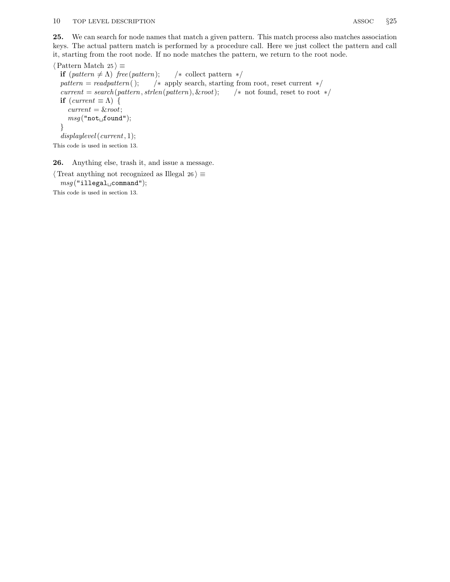25. We can search for node names that match a given pattern. This match process also matches association keys. The actual pattern match is performed by a procedure call. Here we just collect the pattern and call it, starting from the root node. If no node matches the pattern, we return to the root node.

 $\langle$  Pattern Match 25  $\rangle \equiv$ if  $(\text{pattern} \neq \Lambda)$  free (pattern); /\* collect pattern \*/  $pattern = readpattern($ ;  $/*$  apply search, starting from root, reset current  $*/$ current = search(pattern, strlen(pattern), & root);  $\rightarrow$  not found, reset to root  $*/$ if  $(\text{current} \equiv \Lambda)$  {  $current =$   $& root;$  $msg("not<sub>u</sub>found");$ } displaylevel (current, 1); This code is used in section 13.

26. Anything else, trash it, and issue a message.

 $\langle$  Treat anything not recognized as Illegal 26  $\rangle \equiv$  $msg("i1legal_\sqcup command");$ This code is used in section 13.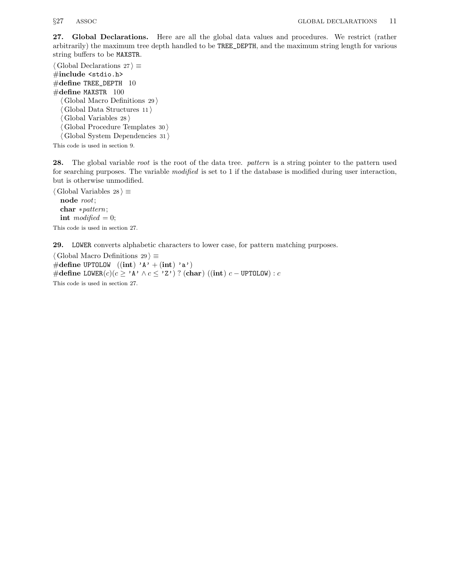27. Global Declarations. Here are all the global data values and procedures. We restrict (rather arbitrarily) the maximum tree depth handled to be TREE\_DEPTH, and the maximum string length for various string buffers to be MAXSTR.

 $\langle$  Global Declarations 27  $\rangle \equiv$ #include <stdio.h>  $\#$ define TREE\_DEPTH 10  $\#\text{define MAXSTR } 100$  $\langle$  Global Macro Definitions 29 $\rangle$  $\langle$  Global Data Structures 11 $\rangle$  $\langle$  Global Variables 28  $\rangle$  $\langle$  Global Procedure Templates 30  $\rangle$  $\langle$ Global System Dependencies 31 $\rangle$ 

This code is used in section 9.

28. The global variable root is the root of the data tree. pattern is a string pointer to the pattern used for searching purposes. The variable modified is set to 1 if the database is modified during user interaction, but is otherwise unmodified.

 $\langle$  Global Variables 28  $\rangle \equiv$ node root; char ∗pattern; int modified  $= 0;$ This code is used in section 27.

29. LOWER converts alphabetic characters to lower case, for pattern matching purposes.

 $\langle$  Global Macro Definitions 29  $\rangle \equiv$ #define UPTOLOW  $((\text{int}) \; 'A' + (\text{int}) \; 'a')$ #define LOWER $(c)(c \geq \Lambda) \wedge c \leq \Lambda$ ' (char)  $((\text{int}) \ c - \text{UPTOLOW}) : c$ This code is used in section 27.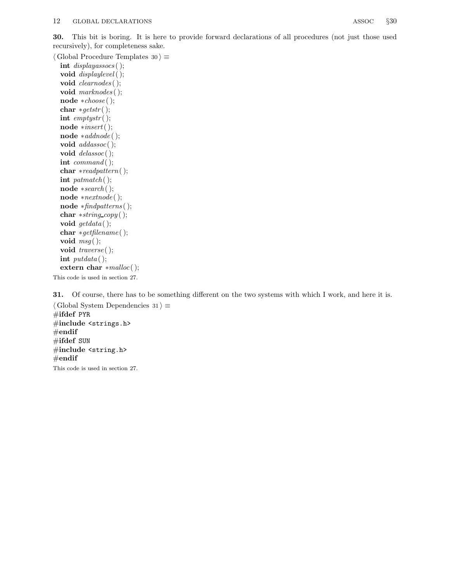30. This bit is boring. It is here to provide forward declarations of all procedures (not just those used recursively), for completeness sake.

 $\langle$  Global Procedure Templates 30  $\rangle \equiv$ int displayassocs ( ); void  $displaylevel($  ); void *clearnodes* ( ); void marknodes ();

node ∗choose ( ); char  $*gets()$ ; int  $emptystr()$ ; node ∗insert( ); node ∗addnode ( ); void *addassoc*(); void  $\text{delassoc}()$ ; int  $command($  ); char ∗readpattern( ); int patmatch( $\cdot$ ); node ∗search ( ); node ∗nextnode ( ); node ∗findpatterns ( ); char ∗string copy ( ); void  $getdata$  ( ); char ∗getfilename ( ); void  $msg($  ); void *traverse* (*)*; int  $putdata$  ( ); extern char  $*{malloc}()$ ; This code is used in section 27.

31. Of course, there has to be something different on the two systems with which I work, and here it is.  $\langle$  Global System Dependencies 31 $\rangle \equiv$ #ifdef PYR #include <strings.h>  $#$ endif  $\#$ ifdef SUN  $\#$ include <string.h>  $#$ endif This code is used in section 27.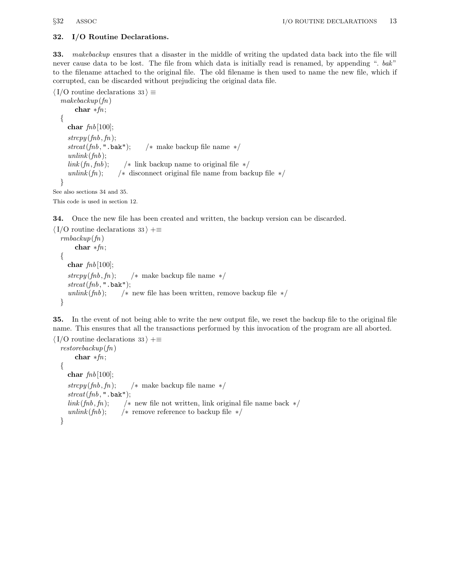### 32. I/O Routine Declarations.

33. *makebackup* ensures that a disaster in the middle of writing the updated data back into the file will never cause data to be lost. The file from which data is initially read is renamed, by appending ". bak" to the filename attached to the original file. The old filename is then used to name the new file, which if corrupted, can be discarded without prejudicing the original data file.

```
\langle I/O routine declarations 33 \rangle \equivmakebackup(fn)char ∗fn;
  {
    char fnb[100];
    strcpy (fnb, fn);strcat(fnb, "}.bak"); /* make backup file name */
    unlink (f h b);link (fn, fhb); /* link backup name to original file */
    unlink(f_n); /* disconnect original file name from backup file */
  }
See also sections 34 and 35.
```
This code is used in section 12.

34. Once the new file has been created and written, the backup version can be discarded.

```
\langle I/O routine declarations 33 \rangle +≡
  rmbackup(fn)
       char *fn;{
    char fnb[100];
    stropy (fnh, fn); /* make backup file name */
    strcat(fnb, " . bak");
    unlink(fnb); /* new file has been written, remove backup file */}
```
35. In the event of not being able to write the new output file, we reset the backup file to the original file name. This ensures that all the transactions performed by this invocation of the program are all aborted.

```
\langle I/O routine declarations 33 \rangle + \equivrestorebackup(fn)char ∗fn;
  \{char fnb[100];
    stropy (fth, fn); /* make backup file name */
    strcat(fnb, " . bak");
    link(fh, fn); /* new file not written, link original file name back */
    unlink(fnb); /* remove reference to backup file */}
```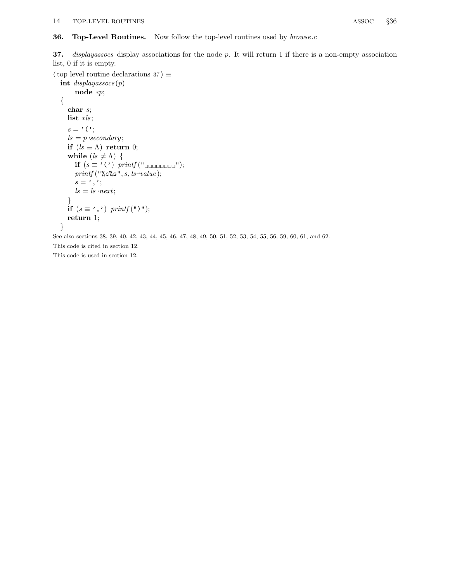### 36. Top-Level Routines. Now follow the top-level routines used by *browse.c*

37. *displayassocs* display associations for the node  $p$ . It will return 1 if there is a non-empty association list, 0 if it is empty.

 $\langle$  top level routine declarations 37 $\rangle \equiv$ 

```
int displaysocs(p)node ∗p;
{
  char s;
  list ∗ls ;
  s = ' (';
   ls = p\text{-}secondary;if (ls \equiv \Lambda) return 0;
  while (ls \neq \Lambda) {
     if (s \equiv ' (') printf ("
      printf("%c%s", s, ls\rightarrow value);s = ',';
      ls = ls \rightarrow next;}
  if (s \equiv ', ') printf ("')");
   return 1;
}
```
See also sections 38, 39, 40, 42, 43, 44, 45, 46, 47, 48, 49, 50, 51, 52, 53, 54, 55, 56, 59, 60, 61, and 62. This code is cited in section 12.

This code is used in section 12.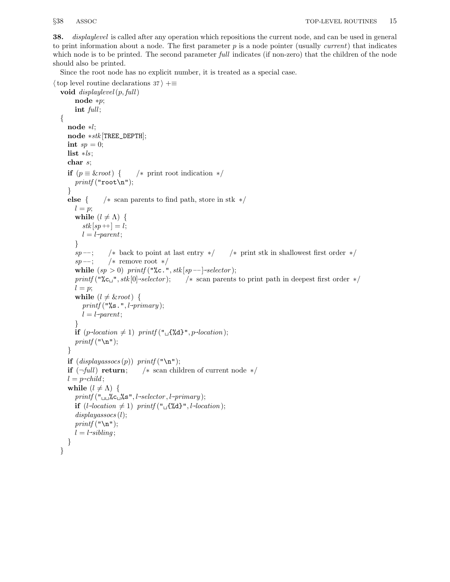38. displaylevel is called after any operation which repositions the current node, and can be used in general to print information about a node. The first parameter  $p$  is a node pointer (usually *current*) that indicates which node is to be printed. The second parameter full indicates (if non-zero) that the children of the node should also be printed.

Since the root node has no explicit number, it is treated as a special case.

```
\langle top level routine declarations 37 \rangle +\equivvoid displaylevel(p, full)node ∗p;
        int full;{
     node ∗l;
     node ∗stk [TREE_DEPTH];
     int sp = 0;
     list *ls;
     char s;
     if (p \equiv \& root) { /* print root indication */
        printf("root\n`n");}
     else { /* scan parents to find path, store in stk */l = p;
        while (l \neq \Lambda) {
           stk[sp+]=l;l = l-parent;
        }
        sp -; /* back to point at last entry */ /* print stk in shallowest first order */
        sp --; /* remove root */
        while (sp > 0) printf ("%c.", stk [sp --]~selector);
        printf("%c<sub>u</sub>", stk[0] \rightarrow selector);/* scan parents to print path in deepest first order */l = p;
        while (l \neq k root) {
           printf("%s.", l\rightarrow primary);
           l = l-parent;
        }
        if (p\text{-}location \neq 1) printf (\ulcorner \Box \{ \& d\} \urcorner, p\text{-}location);printf("n");
     }
     if (displayassocs(p)) print(f("n");
     if (\neg full) return; /* scan children of current node */
     l = p\neg\text{child};while (l \neq \Lambda) {
        \text{printf} ("\cup \cup \text{%c} \cup \text{%s}", l-selector, l-\text{primary});
        if (l\neg location \neq 1) printf ("\Box {\mathcal{K}}d}_{\neg} ", l\neg location);displavassocs(l);printf("\n\cdot);
        l = l \rightarrow sibling;}
  }
```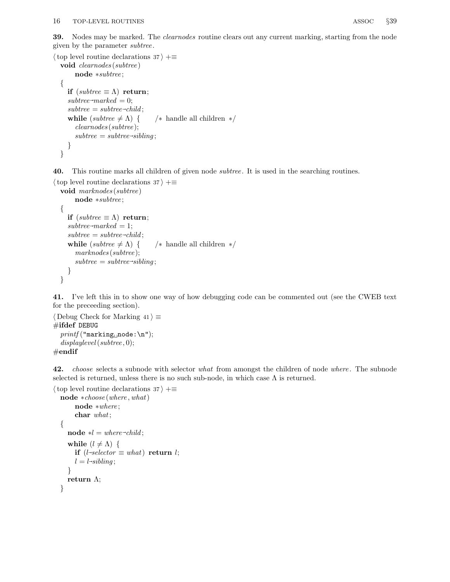39. Nodes may be marked. The *clearnodes* routine clears out any current marking, starting from the node given by the parameter subtree .

```
\langle top level routine declarations 37 \rangle +≡
   void clearnodes (subtree )
        node ∗subtree ;
   {
     if (subtree \equiv \Lambda) return;
     subtree \rightarrow marked = 0;subtree = subtree \rightarrow child;while (subtree \neq \Lambda) { /* handle all children */
        clearnodes (subtree );
         subtree = subtree \rightarrow sibling;}
  }
```
40. This routine marks all children of given node subtree . It is used in the searching routines.

```
\langle top level routine declarations 37 \rangle +≡
   void marknodes (subtree)
        node ∗subtree ;
   {
     if (subtree \equiv \Lambda) return;
     subtree \rightarrow marked = 1;subtree = subtree \rightarrow child;while (subtree \neq \Lambda) { /* handle all children */
        marknodes (subtree);
         subtree = subtree \rightarrow sibling;}
   }
```
41. I've left this in to show one way of how debugging code can be commented out (see the CWEB text for the preceeding section).

```
\langle Debug Check for Marking 41 \rangle \equiv\#ifdef DEBUG
  printf("marking<sub>u</sub>node:\nu",displaylevel(subtree, 0);#endif
```
42. choose selects a subnode with selector what from amongst the children of node where. The subnode selected is returned, unless there is no such sub-node, in which case  $\Lambda$  is returned.

```
\langle top level routine declarations 37 \rangle +≡
   node ∗choose (where , what)
          node ∗where ;
          char what;
   {
       \textbf{node} * l = \text{where} \rightarrow \text{child};while (l \neq \Lambda) {
           \mathbf{if} \,\, (l\text{-}selector \equiv what) \,\,\mathbf{return} \,\, l;l = l \rightarrow sibling;}
       return \Lambda;
   }
```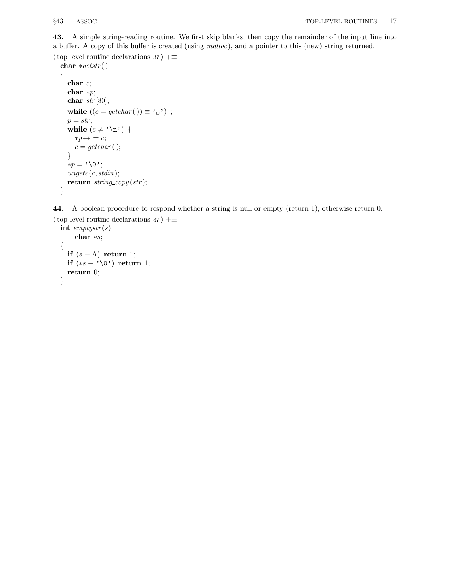43. A simple string-reading routine. We first skip blanks, then copy the remainder of the input line into a buffer. A copy of this buffer is created (using malloc ), and a pointer to this (new) string returned.

```
\langle top level routine declarations 37 \rangle +≡
  char *gets(){
     char c;
     char ∗p;
     char str[80];
     while ((c = getchar( )) \equiv ' \sqcup ');p = str;while (c \neq \text{'\`n'} ) {
       ∗p++ = c;
       c = getchar( );
     }
     *p = \text{'\`0';}ungetc(c, stdin);return string\_copy(str);}
```
44. A boolean procedure to respond whether a string is null or empty (return 1), otherwise return 0.

```
\langle top level routine declarations 37 \rangle +≡
  int emptystr(s)char ∗s;
  {
    if (s \equiv \Lambda) return 1;
    if (*s ≡ ' \0') return 1;
    return 0;
  }
```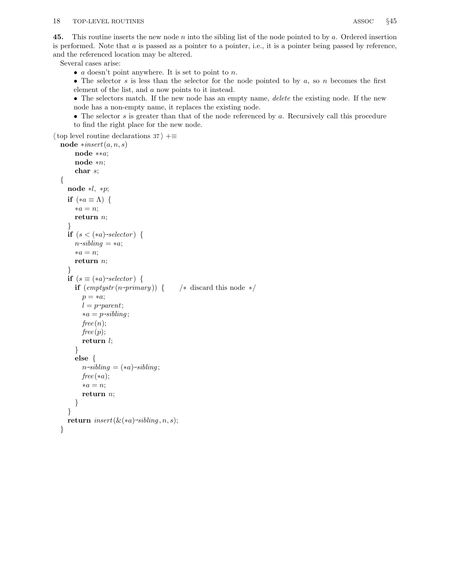45. This routine inserts the new node n into the sibling list of the node pointed to by a. Ordered insertion is performed. Note that  $a$  is passed as a pointer to a pointer, i.e., it is a pointer being passed by reference, and the referenced location may be altered.

Several cases arise:

•  $a$  doesn't point anywhere. It is set to point to  $n$ .

• The selector s is less than the selector for the node pointed to by  $a$ , so  $n$  becomes the first element of the list, and a now points to it instead.

• The selectors match. If the new node has an empty name, *delete* the existing node. If the new node has a non-empty name, it replaces the existing node.

• The selector  $s$  is greater than that of the node referenced by  $a$ . Recursively call this procedure to find the right place for the new node.

 $\langle$  top level routine declarations 37  $\rangle$  +≡

```
node *insert(a, n, s)node ∗∗a;
     node ∗n;
     char s;
{
   node ∗l, ∗p;
  if (*a \equiv \Lambda) {
     *a = n;return n;
   }
   if (s < (*a) \rightarrow selector) {
      n\rightarrow sibling = *a;*a = n;return n;
   }
   if (s \equiv (*a) \rightarrow selector) {
     if (emptytr(n\rightarrow primary)) {
                                               /* discard this node */
        p = *a;
         l = p\text{-}parent;*a = p\rightarrow sibling;free(n);free(p);return l;
      }
     else {
         n\rightarrow sibling = (*a)\rightarrow sibling;free(*a);*a = n;return n;
     }
   }
   return \ insert(\&(*a) \rightarrow sibling, n, s);}
```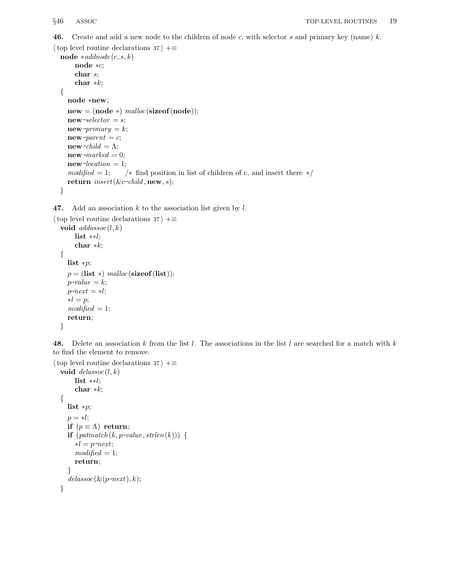**46.** Create and add a new node to the children of node c, with selector s and primary key (name) k.

```
\langle top level routine declarations 37 \rangle +≡
  node *addnode(c, s, k)node ∗c;
        char s;
        char *k;
  {
     node ∗new;
     new = (node * ) \ <i>malloc</i>(sizeof(node));new \rightarrow selector = s;new\rightarrow primary = k;new-parent = c;
      new \rightarrow child = \Lambda;new<sup>-marked</sup> = 0;
      new\rightarrow location = 1;modified = 1; /* find position in list of children of c, and insert there */return \ insert(\&c\text{-}child, \textbf{new}, s);}
```
47. Add an association  $k$  to the association list given by  $l$ .

```
\langle top level routine declarations 37 \rangle +≡
  void addassoc(l, k)list ∗∗l;
       char ∗k;
  {
     list ∗p;
     p = (list * ) \; <i>malloc</i>(size of (list));p\neg value = k;p\text{-}next = *l;*l = p;modified = 1;return;
  }
```
48. Delete an association k from the list l. The associations in the list l are searched for a match with k to find the element to remove.

```
\langle top level routine declarations 37 \rangle +≡
   void \text{delassoc}(l, k)list ∗∗l;
          char ∗k;
   {
       list ∗p;
      p = *l;
      if (p \equiv \Lambda) return;
       \textbf{if} \; \left(\textit{path}(k, p \text{-value}, \textit{strlen}(k))\right) \; \{*l = p \rightarrow net;modified = 1;return;
       }
       \textit{delassoc}(\&(\textit{p--next}),k);}
```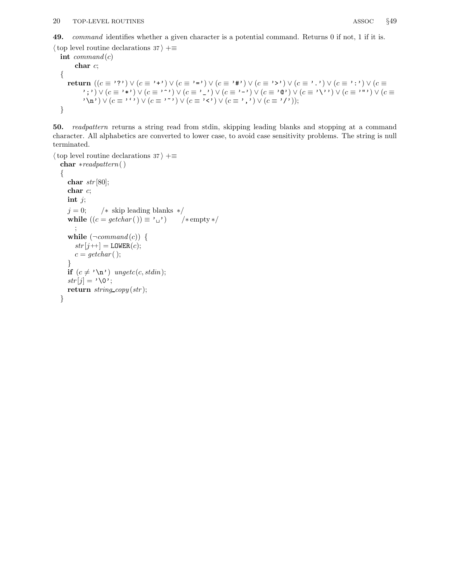49. command identifies whether a given character is a potential command. Returns 0 if not, 1 if it is.

```
\langle top level routine declarations 37 \rangle +≡
```
int  $command(c)$ char c; { return  $((c \equiv '?') \vee (c \equiv '+') \vee (c \equiv '=') \vee (c \equiv '#') \vee (c \equiv '>') \vee (c \equiv '.^*) \vee (c \equiv '.^*) \vee (c \equiv$ ';') ∨  $(c \equiv '$ \*') ∨  $(c \equiv '$ '') ∨  $(c \equiv '$ ') ∨  $(c \equiv '$ ') ∨  $(c \equiv '$ '') ∨  $(c \equiv '$ '') ∨  $(c \equiv '$ ''') ∨  $(c \equiv$ '  $\langle \mathbf{n'} \rangle \vee (c \equiv \langle \cdot \rangle) \vee (c \equiv \langle \cdot \rangle) \vee (c \equiv \langle \cdot \rangle) \vee (c \equiv \langle \cdot \rangle) \vee (c \equiv \langle \cdot \rangle))$ ; }

50. readpattern returns a string read from stdin, skipping leading blanks and stopping at a command character. All alphabetics are converted to lower case, to avoid case sensitivity problems. The string is null terminated.

```
\langle top level routine declarations 37 \rangle +≡
  char ∗readpattern( )
  {
     char str[80];
     char c;
    int j;
    j = 0; /* skip leading blanks */
     while ((c = getchar( )) \equiv ' \cup') /* empty */
       ;
     while (\neg command(c)) {
       str[j++] = \text{LOWER}(c);c = getchar( );
     }
     if (c \neq \text{'\`n'}) ungetc(c, stdin);str[j] = \text{`0'};
     return string\_copy(str);}
```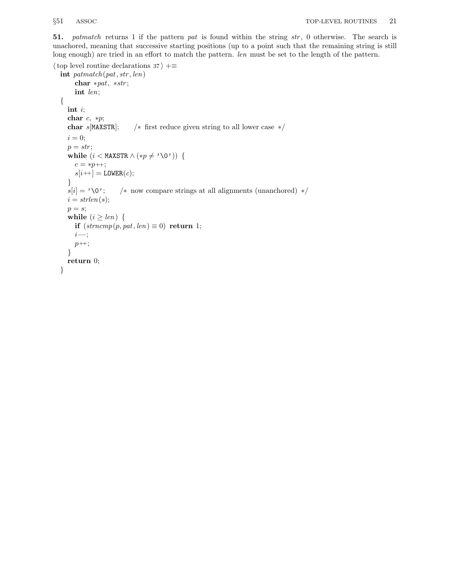51. patmatch returns 1 if the pattern pat is found within the string str, 0 otherwise. The search is unachored, meaning that successive starting positions (up to a point such that the remaining string is still long enough) are tried in an effort to match the pattern. *len* must be set to the length of the pattern.

```
\langle top level routine declarations 37 \rangle +≡
  int \mathit{path}(\mathit{pat},\mathit{str},\mathit{len})char ∗pat, ∗str ;
       int len;
  {
     int i;
     char c, *p;char s[MAXSTR]; /* first reduce given string to all lower case */i = 0;p = str;while (i < \texttt{MAXSTR} \land (*p \neq \text{'\`0'}) {
       c = *p + ;s[i+] = \texttt{LOWER}(c);}
     s[i] = ' \0'; /* now compare strings at all alignments (unanchored) */
     i = strlen(s);p = s;
     while (i \geq len) {
       if (strncmp(p, pat, len) \equiv 0) return 1;
       i−−;
       p_{++};
     }
     return 0;
  }
```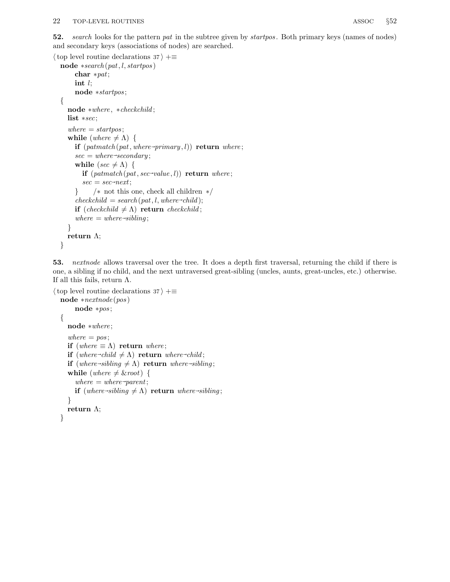```
\langle top level routine declarations 37 \rangle +≡
  node *search (pat, l, startpos)
        char ∗pat;
        int l;
        node ∗startpos ;
   {
      node ∗where , ∗checkchild ;
     list ∗sec;
      where = startpos;while (where \neq \Lambda) {
         \mathbf{if} \; (path (pat, where \neg primary, l)) \; \mathbf{return} \; where;\sec = \text{where} \rightarrow \sec{ondary};while (sec \neq \Lambda) {
            \textbf{if} \; (path (pat, sec \rightarrow value, l)) \; \textbf{return} \; where;\sec = \sec \text{--}next;} /∗ not this one, check all children ∗/
         checkchild = search(pat, l, where \neg child);if (checkchild \neq \Lambda) return checkchild;
         where = where \rightarrow sibling;}
      return \Lambda;
   }
```
53. nextnode allows traversal over the tree. It does a depth first traversal, returning the child if there is one, a sibling if no child, and the next untraversed great-sibling (uncles, aunts, great-uncles, etc.) otherwise. If all this fails, return  $\Lambda$ .

```
\langle top level routine declarations 37 \rangle +≡
  node ∗nextnode (pos )
        node ∗pos ;
   {
     node ∗where ;
     where = pos;
     if (where \equiv \Lambda) return where;
      if (where \neg child \neq \Lambda) return where-child;
      if (where \rightarrow sibling \neq \Lambda) return where \rightarrow sibling;
     while (where \neq &root) {
         where = where \rightarrow parent;if (where-sibling \neq \Lambda) return where-sibling;
      }
     return \Lambda;
   }
```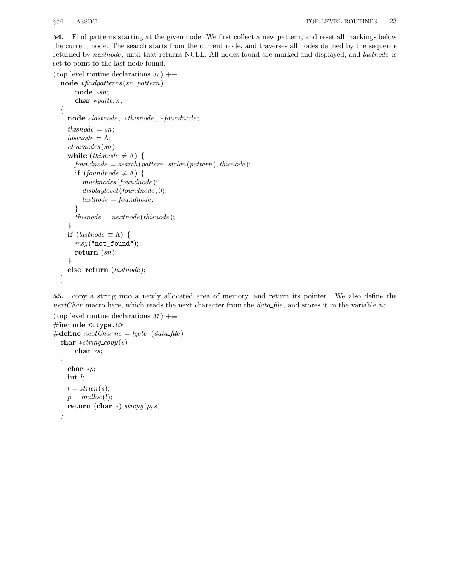54. Find patterns starting at the given node. We first collect a new pattern, and reset all markings below the current node. The search starts from the current node, and traverses all nodes defined by the sequence returned by *nextnode*, until that returns NULL. All nodes found are marked and displayed, and *lastnode* is set to point to the last node found.

```
\langle top level routine declarations 37 \rangle +≡
  node ∗findpatterns (sn, pattern)
        node ∗sn;
       char ∗pattern;
  {
     node ∗lastnode , ∗thisnode , ∗foundnode ;
     this node = sn;\mathit{lastnode} = \Lambda;
     clearnodes (sn);
     while (thisnode \neq \Lambda) {
       found node = search(pathern, strlen(pathern), this node);if (foundnode \neq \Lambda) {
          marknodes (foundnode );
          displaylevel(foundnode, 0);\mathit{lastnode} = \mathit{foundnode};
        }
        this node = next node(thisnode);}
     if (lastnode \equiv \Lambda) {
        msg("not<sub>u</sub>found");
       return (sn);}
     else return (lastnode );
  }
```

```
55. copy a string into a newly allocated area of memory, and return its pointer. We also define the
nextChar macro here, which reads the next character from the data_file, and stores it in the variable nc.
```

```
\langle top level routine declarations 37 \rangle +≡
#include <ctype.h>
#define nextCharnc = \text{fgetc} (data file)
  char *string\_copy(s)char ∗s;
  {
    char ∗p;
    int l;
    l = strlen(s);p = \text{malloc}(l);return (char *) strcpy(p, s);}
```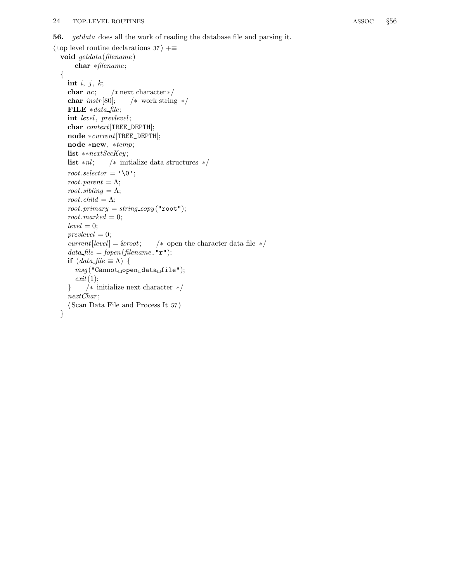```
\langle top level routine declarations 37 \rangle +≡
  void getdata (filename )
       char ∗filename ;
  {
    int i, j, k;char nc; /* next character */char instr[80]; /* work string */
    FILE *data-file;
    int level, prevlevel;
     char context[TREE_DEPTH];
     node ∗current[TREE_DEPTH];
     node ∗new, ∗temp;
    list ∗∗nextSecKey ;
    list *nl; /* initialize data structures */
     root.selector = '\0;
     root.parent = \Lambda;
     root.sibling = \Lambda;
     root.child = \Lambda;
     root.primary = string\_copy("root");root.marked = 0;
     level = 0;prevlevel = 0;current[level] = &root; \forall open the character data file \ast/data-file = fopen(filename, "r");
     if (data file \equiv \Lambda) {
       msg(" {\tt Carnot} \lrcorner {\tt open} \lrcorner {\tt data} \lrcorner {\tt file}");exit(1);} /∗ initialize next character ∗/
     nextChar;
     \langle Scan Data File and Process It 57\rangle}
```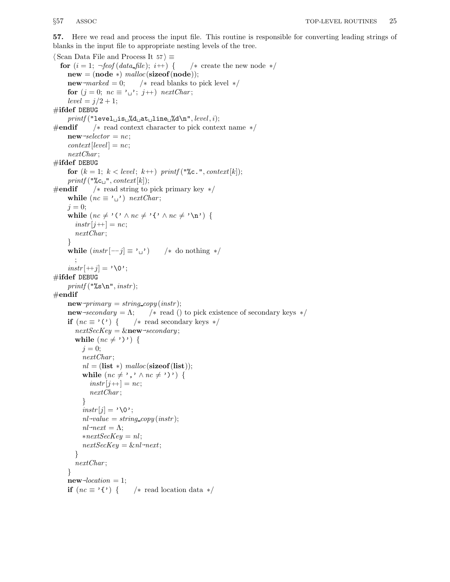57. Here we read and process the input file. This routine is responsible for converting leading strings of blanks in the input file to appropriate nesting levels of the tree.

 $\langle$  Scan Data File and Process It 57 $\rangle \equiv$ for  $(i = 1; \neg \text{feof}(\text{data}\text{ file}); i++)$  { /\* create the new node \*/  $new = (node * ) \ *malloc*(sizeof(node));$ **new**<sup>→</sup>*marked* = 0;  $\frac{\triangleleft}{\triangleleft}$  read blanks to pick level  $\frac{\triangleleft}{\triangleleft}$ for  $(j = 0; nc \equiv ' \rightarrow '; j++)$  nextChar;  $level = j/2 + 1;$  $\#$ ifdef DEBUG  $printf("level<sub>u</sub>is<sub>u</sub>%d<sub>u</sub>at<sub>u</sub>line<sub>u</sub>%d\nu", level, i);$  $\#$ **endif** /\* read context character to pick context name  $*/$  $new \rightarrow selector = nc;$  $context[level] = nc;$ nextChar ;  $\#$ ifdef DEBUG for  $(k = 1; k < level; k++)$  printf ("%c.", context[k]); printf ("% $c_{\sqcup}$ ", context[k]);  $\#$ **endif**  $\quad$  / $*$  read string to pick primary key  $*/$ while  $(ne \equiv \prime \rightarrow)$  nextChar;  $j = 0;$ while  $(nc \neq '$  (' $\land$  nc  $\neq '$  {' $\land$  nc  $\neq$ ' $\land$ n') {  $instr[j+]=nc;$ nextChar; } while  $(instr[-j] \equiv '_{\sqcup})$  /\* do nothing \*/ ;  $instr[++j] = '0';$  $\#$ ifdef DEBUG  $printf("%s\n", instr);$  $#$ endif  $new \rightarrow primary = string\_copy(instr);$  $new \rightarrow secondary = \Lambda;$ /\* read () to pick existence of secondary keys  $*/$ if  $(nc \equiv '') \{$  /\* read secondary keys \*/  $nextSecKey = \&new\rightarrow secondary;$ while  $(nc \neq \cdot) \cdot$  {  $j = 0;$ nextChar;  $nl = (list * ) \; malloc(sizeof(list));$ while  $(nc \neq \prime, \prime \land nc \neq \prime)')$  {  $instr[j+] = nc;$ nextChar ; }  $instr[j] = ' \ 0';$  $nl$ -value = string\_copy(instr);  $nl \rightarrow next = \Lambda;$  $*nextSecKey = nl;$  $nextSecKey = \& n \rightarrow next;$ } nextChar; }  $new\rightarrow location = 1;$ if  $(nc \equiv ' \{') \}$  /\* read location data \*/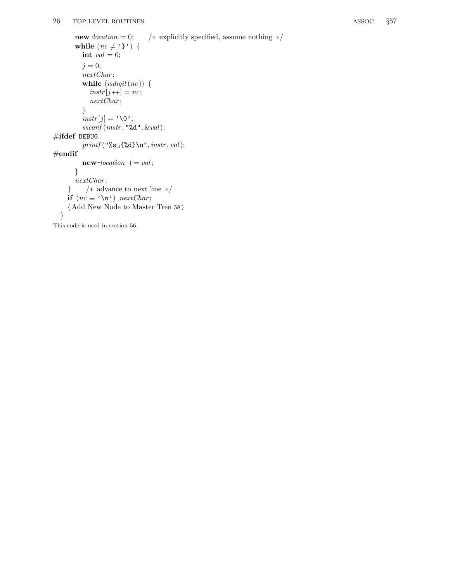```
new\rightarrow location = 0;/
∗ explicitly specified, assume nothing
∗
/
        while (nc \neq ''}') {
          int val = 0;j = 0;nextChar
;
           while (\text{isdigit}\, (n c)) {
              instr[j+] = nc;nextChar
;
           }
           \text{instr}[j] = \text{'\`0'};sscanf (instr, "\&d", \&val);#ifdef DEBUG
           printf("%s\sqcup{%d} \n", instr, val);
#endif
           new\text{-}location += val;}
        nextChar
;
     }
/
∗ advance to next line
∗
/
     if (nc \equiv \text{`}\n) nextChar;
     \langle Add New Node to Master Tree 58\rangle}
```
This code is used in section 56.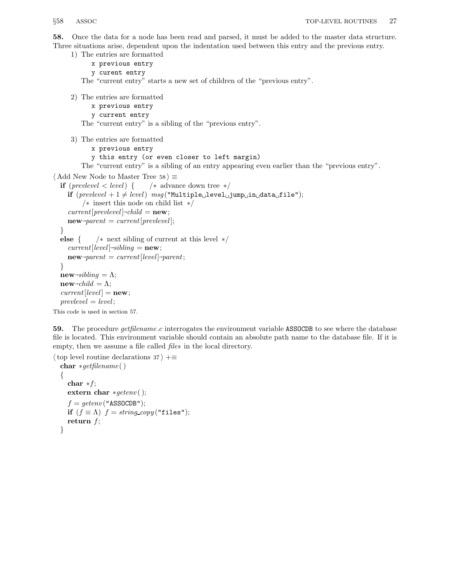58. Once the data for a node has been read and parsed, it must be added to the master data structure. Three situations arise, dependent upon the indentation used between this entry and the previous entry.

```
1) The entries are formatted
```
x previous entry

y curent entry

The "current entry" starts a new set of children of the "previous entry".

2) The entries are formatted

- x previous entry
- y current entry

The "current entry" is a sibling of the "previous entry".

3) The entries are formatted

- x previous entry
- y this entry (or even closer to left margin)

The "current entry" is a sibling of an entry appearing even earlier than the "previous entry".

```
\langle Add New Node to Master Tree 58 \rangle \equiv
```

```
if (\text{prevlevel} < \text{level}) { /* advance down tree */
   if (\text{prevlevel} + 1 \neq \text{level}) msg("Multiple \text{level} \text{level} \text{input} \text{input}/∗ insert this node on child list ∗/
   current[prevlevel] \neg child = new;new\rightarrow parent = current[prevlevel];}
else { /* next sibling of current at this level */current[level] \rightarrow sibling = new;new\rightarrow parent = current[level]\rightarrow parent;}
new\rightarrow sibling = \Lambda;new\text{-}child = \Lambda;current[level] = new;prevlevel = level;
```
This code is used in section 57.

59. The procedure *getfilename.c* interrogates the environment variable ASSOCDB to see where the database file is located. This environment variable should contain an absolute path name to the database file. If it is empty, then we assume a file called files in the local directory.

```
\langle top level routine declarations 37 \rangle +≡
  char ∗getfilename ( )
  {
     char *f;
     extern char *getenv ( );
     f = getenv ("ASSOCDB");
     if (f \equiv \Lambda) f = string\_copy("files");return f;
  }
```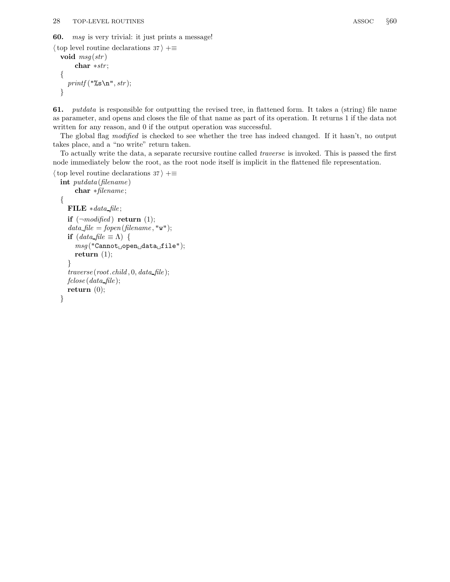60. msg is very trivial: it just prints a message!

```
\langle top level routine declarations 37 \rangle +≡
  void msg(str)char ∗str ;
  {
     printf("%s\n', str);}
```
61. putdata is responsible for outputting the revised tree, in flattened form. It takes a (string) file name as parameter, and opens and closes the file of that name as part of its operation. It returns 1 if the data not written for any reason, and 0 if the output operation was successful.

The global flag modified is checked to see whether the tree has indeed changed. If it hasn't, no output takes place, and a "no write" return taken.

To actually write the data, a separate recursive routine called traverse is invoked. This is passed the first node immediately below the root, as the root node itself is implicit in the flattened file representation.

```
\langle top level routine declarations 37 \rangle +=
```

```
int putdata (filename )
     char ∗filename ;
{
  FILE ∗data file ;
   if (\neg \textit{modified}) return (1);
   data file = fopen(filename, "w");
   if (data file \equiv \Lambda {
     msg("Cannot\text{\tiny\cup}open\text{\tiny\cup}data\text{\tiny\cup}file");return (1);
   }
   traverse(root.child, 0, data_file);fclose(data file);
  return (0);
}
```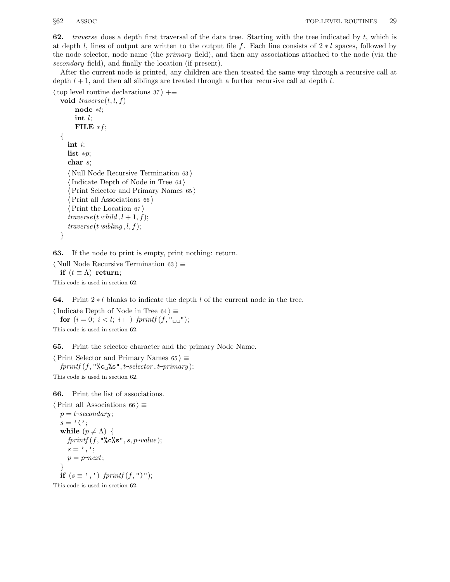62. traverse does a depth first traversal of the data tree. Starting with the tree indicated by  $t$ , which is at depth l, lines of output are written to the output file f. Each line consists of  $2 * l$  spaces, followed by the node selector, node name (the primary field), and then any associations attached to the node (via the secondary field), and finally the location (if present).

After the current node is printed, any children are then treated the same way through a recursive call at depth  $l + 1$ , and then all siblings are treated through a further recursive call at depth  $l$ .

```
\langle top level routine declarations 37 \rangle +≡
  void traverse(t, l, f)node ∗t;
        int l;
        FILE *f;
  {
     int i;
     list *p;char s;
     \langle Null Node Recursive Termination 63 \rangle\langle Indicate Depth of Node in Tree 64\rangle\langle Print Selector and Primary Names 65 \rangle\langle Print all Associations 66 \rangle\langle Print the Location 67 \rangletraverse(t\text{-}child, l+1, f);traverse(t\rightarrow sibling, l, f);}
```
63. If the node to print is empty, print nothing: return.

```
\langle Null Node Recursive Termination 63 \rangle \equivif (t \equiv \Lambda) return;
```
This code is used in section 62.

**64.** Print  $2 * l$  blanks to indicate the depth  $l$  of the current node in the tree.

 $\langle$  Indicate Depth of Node in Tree 64 $\rangle \equiv$ for  $(i = 0; i < l; i++)$  fprintf  $(f, "_{\sqcup \sqcup})$ ;

This code is used in section 62.

65. Print the selector character and the primary Node Name.

 $\langle$  Print Selector and Primary Names 65  $\rangle \equiv$  $fprint(f, "$ %c $\cup$ %s", t~selector, t~primary); This code is used in section 62.

66. Print the list of associations.

```
\langle Print all Associations 66 \rangle \equivp = t \rightarrow secondary;s = \prime (\prime;
   while (p \neq \Lambda) {
       fprintf(f, "%c%s", s, p\n\neg value);s = ', ';
       p = p \rightarrow next;}
   if (s \equiv ', ') fprintf (f, "\)");
```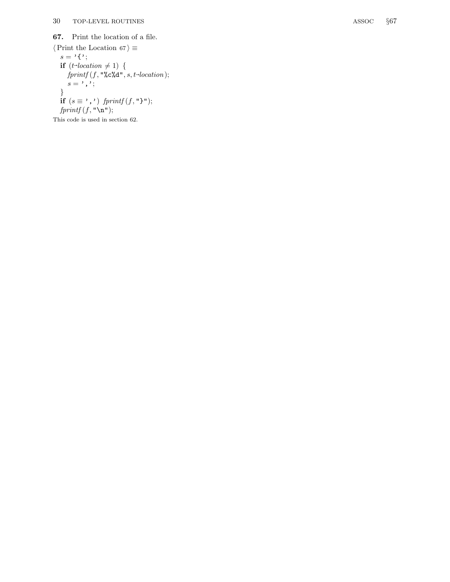67. Print the location of a file.

 $\langle$  Print the Location 67 $\rangle \equiv$  $s = '{'}$ ; if  $(t$ -location  $\neq$  1) {  $fprintf(f, "%c%d", s, t\rightarrow location);$  $s = \prime$  ,  $\prime$  ; } if  $(s \equiv ', ')$  fprintf  $(f, "\,")$ ;  $fprintf(f, "\\ n");$ 

This code is used in section 62.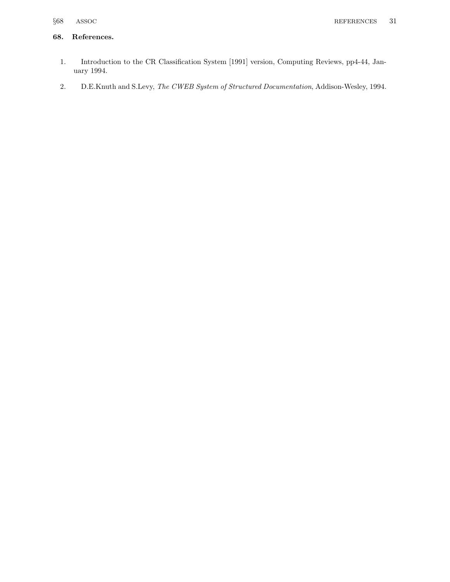### 68. References.

- 1. Introduction to the CR Classification System [1991] version, Computing Reviews, pp4-44, January 1994.
- 2. D.E.Knuth and S.Levy, The CWEB System of Structured Documentation, Addison-Wesley, 1994.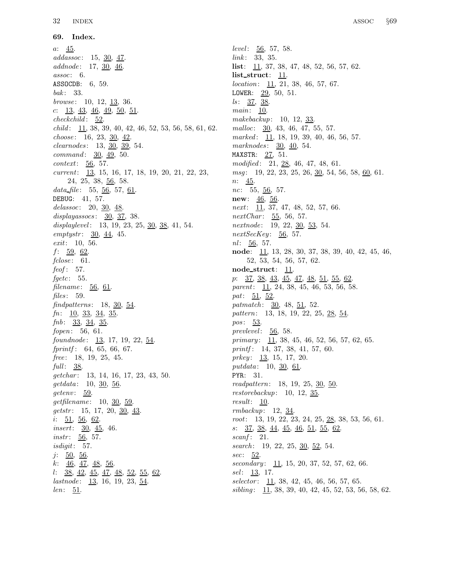69. Index.  $a: \frac{45}{2}$ .  $addassoc: 15, 30, 47.$  $addnode: 17, 30, 46.$  $assoc: 6.$ ASSOCDB: 6, 59.  $bak: 33.$ browse:  $10, 12, 13, 36.$ c:  $\frac{13}{43}$ ,  $\frac{46}{46}$ ,  $\frac{49}{50}$ ,  $\frac{51}{51}$ .  $checkchild: 52.$  $child: \underline{11}, 38, 39, 40, 42, 46, 52, 53, 56, 58, 61, 62.$ choose:  $16, 23, 30, 42$ . clearnodes : 13, 30, 39, 54.  $command: 30, 49, 50.$  $context: 56, 57.$ current: 13, 15, 16, 17, 18, 19, 20, 21, 22, 23, 24, 25, 38, 56, 58. data file:  $55, 56, 57, 61$ . DEBUG: 41, 57. delassoc: 20,  $30, 48$ .  $displaysocs: 30, 37, 38.$ displaylevel: 13, 19, 23, 25,  $\underline{30}$ ,  $\underline{38}$ , 41, 54.  $emptystr: 30, 44, 45.$ exit: 10, 56.  $f: \underline{59}, \underline{62}.$  $fclose: 61.$  $feof: 57.$  $fgetc$ : 55.  $filename: 56, 61.$ files:  $59.$ findpatterns:  $18, 30, 54$ .  $fn: \underline{10}, \underline{33}, \underline{34}, \underline{35}.$  $fnb: 33, 34, 35.$  $fopen: 56, 61.$  $found node: \quad 13, 17, 19, 22, 54.$  $fprint: 64, 65, 66, 67.$  $free: 18, 19, 25, 45.$ full:  $38$ . getchar: 13, 14, 16, 17, 23, 43, 50.  $getdata: 10, 30, 56.$  $getenv: 59.$  $getfilename: 10, 30, 59.$  $gets: 15, 17, 20, 30, 43.$  $i: 51, 56, 62.$ *insert*:  $30, 45, 46$ .  $instr: 56, 57.$ isdigit: 57.  $j: 50, 56.$  $k: \underline{46}, \underline{47}, \underline{48}, \underline{56}.$ l: 38, 42, 45, 47, 48, 52, 55, 62.  $lastnode: \underline{13}, 16, 19, 23, \underline{54}.$ len: 51.

level:  $\underline{56}$ , 57, 58.  $link: 33, 35.$ **list**:  $\frac{11}{37}$ , 37, 38, 47, 48, 52, 56, 57, 62. list struct: 11.  $location: \underline{11}, 21, 38, 46, 57, 67.$ LOWER:  $29, 50, 51$ .  $\textit{ls}: \quad 37, \; 38.$  $main: \underline{10}$ . makebackup: 10, 12, 33. malloc:  $30, 43, 46, 47, 55, 57.$ marked: 11, 18, 19, 39, 40, 46, 56, 57. marknodes: 30, 40, 54. MAXSTR: 27, 51. modified: 21, 28, 46, 47, 48, 61.  $msg: 19, 22, 23, 25, 26, \underline{30}, 54, 56, 58, \underline{60}, 61.$ n: 45. nc:  $55, 56, 57$ . **new:**  $\frac{46}{56}$ . next:  $11, 37, 47, 48, 52, 57, 66.$  $nextChar: 55, 56, 57.$ nextnode: 19, 22, 30, 53, 54.  $nextSecKey: 56, 57.$  $nl: 56, 57.$ node: 11, 13, 28, 30, 37, 38, 39, 40, 42, 45, 46, 52, 53, 54, 56, 57, 62. node struct:  $11$ . p: 37, 38, 43, 45, 47, 48, 51, 55, 62.  $parent: \underline{11}, 24, 38, 45, 46, 53, 56, 58.$ pat:  $51, 52$ . patmatch:  $30, 48, 51, 52$ . pattern: 13, 18, 19, 22, 25, 28, 54. pos: 53. prevlevel:  $56, 58$ . primary:  $11, 38, 45, 46, 52, 56, 57, 62, 65.$ printf: 14, 37, 38, 41, 57, 60.  $prkey: \underline{13}, 15, 17, 20.$ putdata:  $10, 30, 61$ . PYR: 31. readpattern: 18, 19, 25, 30, 50. restorebackup: 10, 12, 35. result: 10. rmbackup: 12, 34. root: 13, 19, 22, 23, 24, 25, 28, 38, 53, 56, 61. s: 37, 38, 44, 45, 46, 51, 55, 62.  $\mathit{scanf}: 21.$ search: 19, 22, 25, 30, 52, 54. sec: 52.  $secondary: \quad 11, 15, 20, 37, 52, 57, 62, 66.$  $sel: 13, 17.$  $selectron: 11, 38, 42, 45, 46, 56, 57, 65.$ sibling: 11, 38, 39, 40, 42, 45, 52, 53, 56, 58, 62.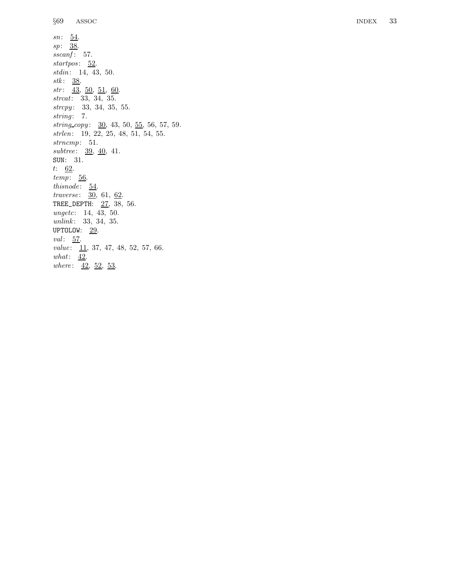what:  $\frac{42}{5}$ 

where:  $42, 52, 53$ .

 $sn: \underline{54}$ . sp: 38. sscanf: 57. startpos: 52. stdin: 14, 43, 50.  $stk: 38$ .  $str: \quad \underline{43}, \ \underline{50}, \ \underline{51}, \ \underline{60}.$ strcat: 33, 34, 35. strcpy: 33, 34, 35, 55. string: 7.  $string\_copy: 30, 43, 50, 55, 56, 57, 59.$ strlen: 19, 22, 25, 48, 51, 54, 55. strncmp: 51.  $subtree: 39, 40, 41.$ SUN: 31. t: 62.  $temp: 56$ .  $this node: 54.$  $traverse: \quad 30, \, 61, \, 62.$ TREE\_DEPTH: 27, 38, 56. ungetc: 14, 43, 50.  $unlink: \quad 33, \ 34, \ 35.$ UPTOLOW: <u>29</u>. val: 57.  $value: \boxed{11, 37, 47, 48, 52, 57, 66.}$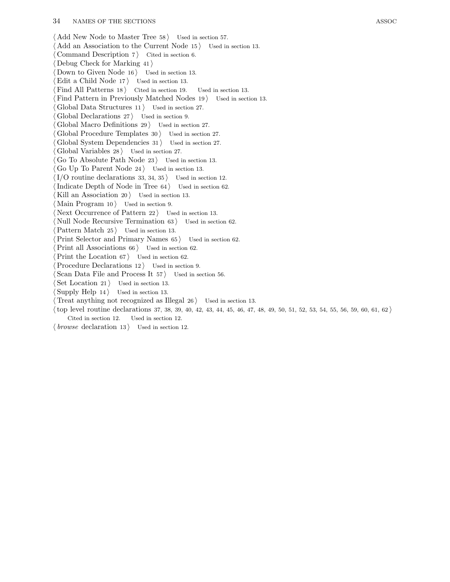$\langle$  Add New Node to Master Tree 58  $\rangle$  Used in section 57.  $\langle$  Add an Association to the Current Node 15  $\rangle$  Used in section 13. Command Description  $7$  Cited in section 6.  $\langle$  Debug Check for Marking 41  $\rangle$ Down to Given Node  $16$  Used in section 13. Edit a Child Node  $17$  Used in section 13. Find All Patterns  $18$  Cited in section 19. Used in section 13. Find Pattern in Previously Matched Nodes  $19$  Used in section 13. Global Data Structures  $11$  Used in section 27. Global Declarations  $27$  Used in section 9. Global Macro Definitions  $29$  Used in section 27. Global Procedure Templates  $30$  Used in section 27. Global System Dependencies  $31$  Used in section 27. Global Variables  $28$  Used in section 27. Go To Absolute Path Node  $23$  Used in section 13. Go Up To Parent Node  $24$  Used in section 13.  $\langle I/O$  routine declarations 33, 34, 35 iused in section 12. Indicate Depth of Node in Tree  $64$  Used in section 62. Kill an Association  $20$  Used in section 13.  $\langle$  Main Program 10  $\rangle$  Used in section 9. Next Occurrence of Pattern  $22$  Used in section 13. Null Node Recursive Termination  $63$  Used in section  $62$ .  $\langle$  Pattern Match 25  $\rangle$  Used in section 13.  $\langle$  Print Selector and Primary Names 65 i Used in section 62. Print all Associations  $66$  Used in section 62.  $\langle$  Print the Location 67  $\rangle$  Used in section 62. Procedure Declarations  $12$  Used in section 9.  $\text{Scan Data File and Process It } 57$  Used in section 56. Set Location 21  $\}$  Used in section 13. Supply Help  $14$  Used in section 13. Treat anything not recognized as Illegal  $26$  Used in section 13.  $\langle$  top level routine declarations 37, 38, 39, 40, 42, 43, 44, 45, 46, 47, 48, 49, 50, 51, 52, 53, 54, 55, 56, 59, 60, 61, 62  $\rangle$ 

Cited in section 12. Used in section 12.  $\langle$  browse declaration 13  $\rangle$  Used in section 12.